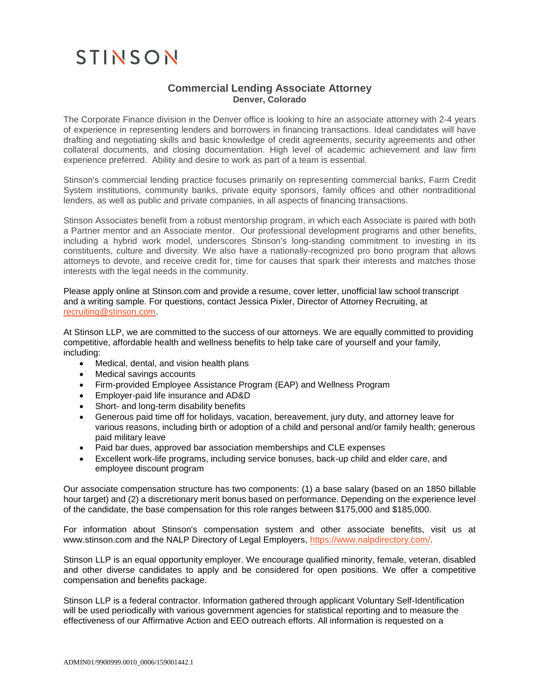## STINSON

## **Commercial Lending Associate Attorney Denver, Colorado**

The Corporate Finance division in the Denver office is looking to hire an associate attorney with 2-4 years of experience in representing lenders and borrowers in financing transactions. Ideal candidates will have drafting and negotiating skills and basic knowledge of credit agreements, security agreements and other collateral documents, and closing documentation. High level of academic achievement and law firm experience preferred. Ability and desire to work as part of a team is essential.

Stinson's commercial lending practice focuses primarily on representing commercial banks, Farm Credit System institutions, community banks, private equity sponsors, family offices and other nontraditional lenders, as well as public and private companies, in all aspects of financing transactions.

Stinson Associates benefit from a robust mentorship program, in which each Associate is paired with both a Partner mentor and an Associate mentor. Our [professional development](https://www.skadden.com/careers/attorneys/experienced-attorneys/americas) programs and other benefits, including a hybrid work model, underscores Stinson's long-standing commitment to investing in its constituents, culture and diversity. We also have a nationally-recognized pro bono program that allows attorneys to devote, and receive credit for, time for causes that spark their interests and matches those interests with the legal needs in the community.

Please apply online at Stinson.com and provide a resume, cover letter, unofficial law school transcript and a writing sample. For questions, contact Jessica Pixler, Director of Attorney Recruiting, at [recruiting@stinson.com.](mailto:recruiting@stinson.com)

At Stinson LLP, we are committed to the success of our attorneys. We are equally committed to providing competitive, affordable health and wellness benefits to help take care of yourself and your family, including:

- Medical, dental, and vision health plans
- Medical savings accounts
- Firm-provided Employee Assistance Program (EAP) and Wellness Program
- Employer-paid life insurance and AD&D
- Short- and long-term disability benefits
- Generous paid time off for holidays, vacation, bereavement, jury duty, and attorney leave for various reasons, including birth or adoption of a child and personal and/or family health; generous paid military leave
- Paid bar dues, approved bar association memberships and CLE expenses
- Excellent work-life programs, including service bonuses, back-up child and elder care, and employee discount program

Our associate compensation structure has two components: (1) a base salary (based on an 1850 billable hour target) and (2) a discretionary merit bonus based on performance. Depending on the experience level of the candidate, the base compensation for this role ranges between \$175,000 and \$185,000.

For information about Stinson's compensation system and other associate benefits, visit us at www.stinson.com and the NALP Directory of Legal Employers, [https://www.nalpdirectory.com/.](https://www.nalpdirectory.com/)

Stinson LLP is an equal opportunity employer. We encourage qualified minority, female, veteran, disabled and other diverse candidates to apply and be considered for open positions. We offer a competitive compensation and benefits package.

Stinson LLP is a federal contractor. Information gathered through applicant Voluntary Self-Identification will be used periodically with various government agencies for statistical reporting and to measure the effectiveness of our Affirmative Action and EEO outreach efforts. All information is requested on a